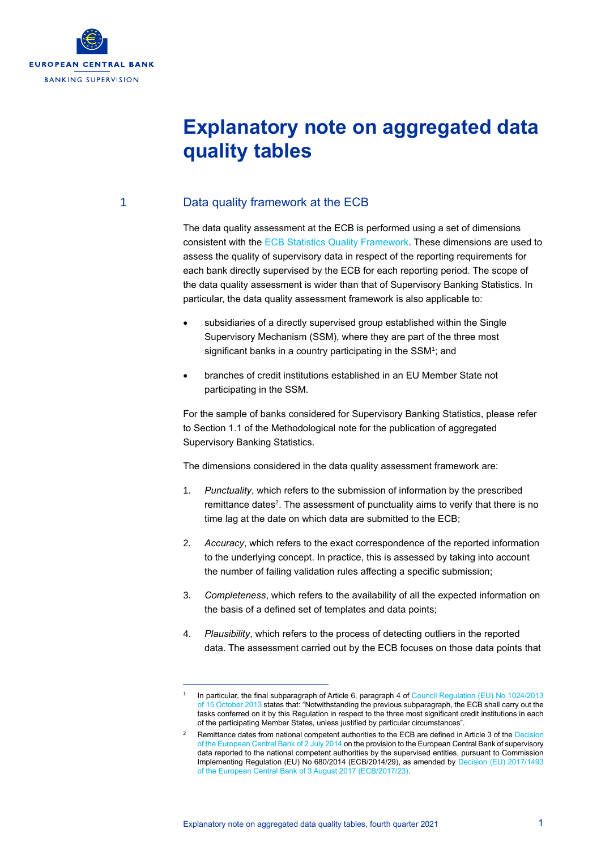

## **Explanatory note on aggregated data quality tables**

## 1 Data quality framework at the ECB

The data quality assessment at the ECB is performed using a set of dimensions consistent with the [ECB Statistics Quality Framework.](http://www.ecb.europa.eu/stats/ecb_statistics/governance_and_quality_framework/html/ecb_statistics_quality_framework.en.html) These dimensions are used to assess the quality of supervisory data in respect of the reporting requirements for each bank directly supervised by the ECB for each reporting period. The scope of the data quality assessment is wider than that of Supervisory Banking Statistics. In particular, the data quality assessment framework is also applicable to:

- subsidiaries of a directly supervised group established within the Single Supervisory Mechanism (SSM), where they are part of the three most significant banks in a country participating in the SSM<sup>1</sup>; and
- branches of credit institutions established in an EU Member State not participating in the SSM.

For the sample of banks considered for Supervisory Banking Statistics, please refer to Section 1.1 of the Methodological note for the publication of aggregated Supervisory Banking Statistics.

The dimensions considered in the data quality assessment framework are:

- 1. *Punctuality*, which refers to the submission of information by the prescribed remittance dates<sup>2</sup>. The assessment of punctuality aims to verify that there is no time lag at the date on which data are submitted to the ECB;
- 2. *Accuracy*, which refers to the exact correspondence of the reported information to the underlying concept. In practice, this is assessed by taking into account the number of failing validation rules affecting a specific submission;
- 3. *Completeness*, which refers to the availability of all the expected information on the basis of a defined set of templates and data points;
- 4. *Plausibility*, which refers to the process of detecting outliers in the reported data. The assessment carried out by the ECB focuses on those data points that

<sup>1</sup> In particular, the final subparagraph of Article 6, paragraph 4 of [Council Regulation \(EU\) No 1024/2013](https://eur-lex.europa.eu/legal-content/EN/TXT/PDF/?uri=CELEX:32013R1024&from=EN)  [of 15 October 2013](https://eur-lex.europa.eu/legal-content/EN/TXT/PDF/?uri=CELEX:32013R1024&from=EN) states that: "Notwithstanding the previous subparagraph, the ECB shall carry out the tasks conferred on it by this Regulation in respect to the three most significant credit institutions in each of the participating Member States, unless justified by particular circumstances".

Remittance dates from national competent authorities to the ECB are defined in Article 3 of the Decision [of the European Central Bank of 2 July 2014](http://eur-lex.europa.eu/legal-content/EN/TXT/PDF/?uri=CELEX:32014D0029(01)) on the provision to the European Central Bank of supervisory data reported to the national competent authorities by the supervised entities, pursuant to Commission Implementing Regulation (EU) No 680/2014 (ECB/2014/29), as amended by [Decision \(EU\) 2017/1493](https://eur-lex.europa.eu/legal-content/EN/TXT/PDF/?uri=CELEX:32017D0023&from=EN)  [of the European Central Bank of 3 August 2017 \(ECB/2017/23\).](https://eur-lex.europa.eu/legal-content/EN/TXT/PDF/?uri=CELEX:32017D0023&from=EN)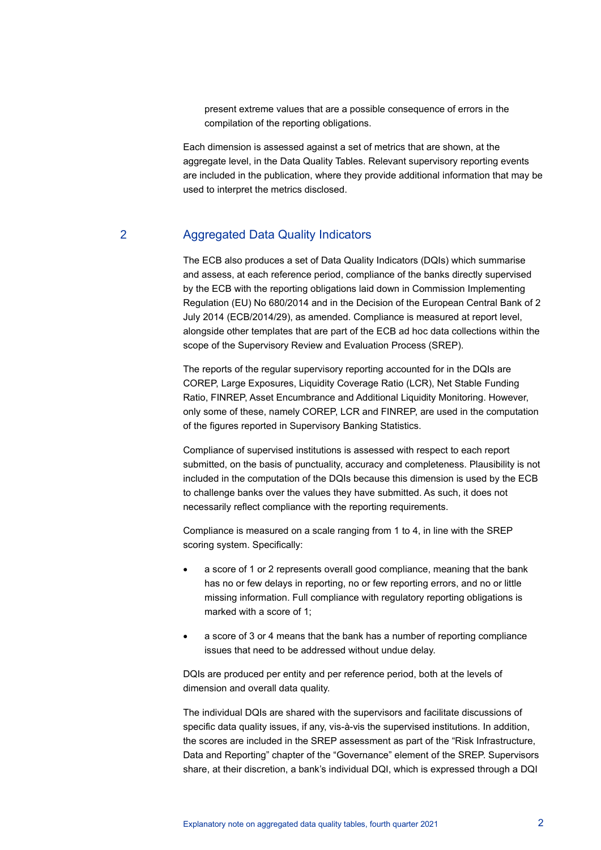present extreme values that are a possible consequence of errors in the compilation of the reporting obligations.

Each dimension is assessed against a set of metrics that are shown, at the aggregate level, in the Data Quality Tables. Relevant supervisory reporting events are included in the publication, where they provide additional information that may be used to interpret the metrics disclosed.

## 2 Aggregated Data Quality Indicators

The ECB also produces a set of Data Quality Indicators (DQIs) which summarise and assess, at each reference period, compliance of the banks directly supervised by the ECB with the reporting obligations laid down in Commission Implementing Regulation (EU) No 680/2014 and in the Decision of the European Central Bank of 2 July 2014 (ECB/2014/29), as amended. Compliance is measured at report level, alongside other templates that are part of the ECB ad hoc data collections within the scope of the Supervisory Review and Evaluation Process (SREP).

The reports of the regular supervisory reporting accounted for in the DQIs are COREP, Large Exposures, Liquidity Coverage Ratio (LCR), Net Stable Funding Ratio, FINREP, Asset Encumbrance and Additional Liquidity Monitoring. However, only some of these, namely COREP, LCR and FINREP, are used in the computation of the figures reported in Supervisory Banking Statistics.

Compliance of supervised institutions is assessed with respect to each report submitted, on the basis of punctuality, accuracy and completeness. Plausibility is not included in the computation of the DQIs because this dimension is used by the ECB to challenge banks over the values they have submitted. As such, it does not necessarily reflect compliance with the reporting requirements.

Compliance is measured on a scale ranging from 1 to 4, in line with the SREP scoring system. Specifically:

- a score of 1 or 2 represents overall good compliance, meaning that the bank has no or few delays in reporting, no or few reporting errors, and no or little missing information. Full compliance with regulatory reporting obligations is marked with a score of 1;
- a score of 3 or 4 means that the bank has a number of reporting compliance issues that need to be addressed without undue delay.

DQIs are produced per entity and per reference period, both at the levels of dimension and overall data quality.

The individual DQIs are shared with the supervisors and facilitate discussions of specific data quality issues, if any, vis-à-vis the supervised institutions. In addition, the scores are included in the SREP assessment as part of the "Risk Infrastructure, Data and Reporting" chapter of the "Governance" element of the SREP. Supervisors share, at their discretion, a bank's individual DQI, which is expressed through a DQI